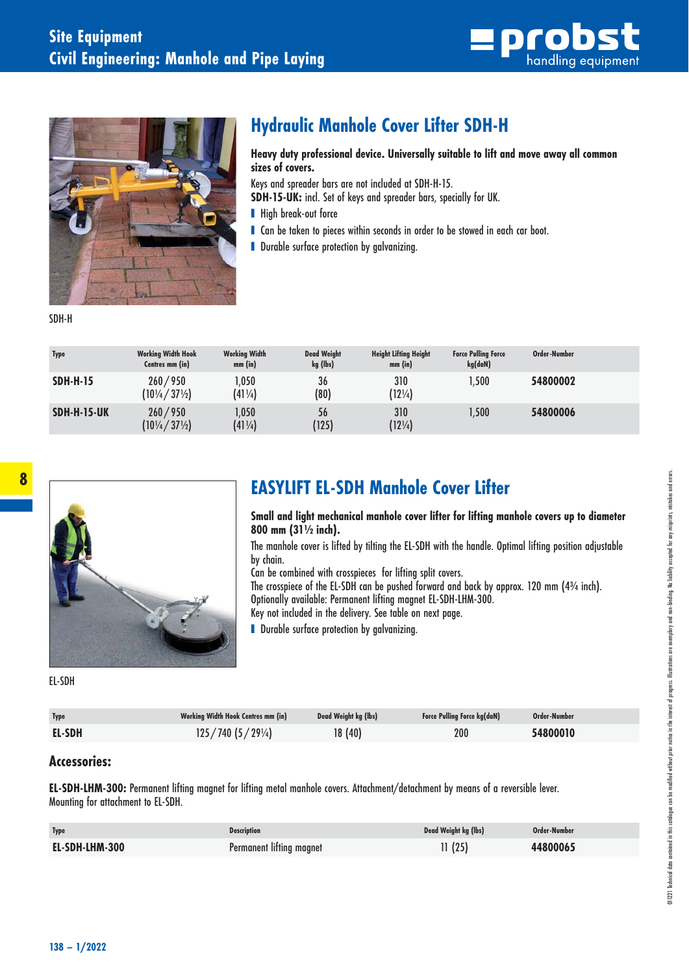



## **Hydraulic Manhole Cover Lifter SDH-H**

 **Heavy duty professional device. Universally suitable to lift and move away all common sizes of covers.** 

Keys and spreader bars are not included at SDH-H-15.

**SDH-15-UK:** incl. Set of keys and spreader bars, specially for UK.

- High break-out force
- Can be taken to pieces within seconds in order to be stowed in each car boot.
- Durable surface protection by galvanizing.

SDH-H

| <b>Type</b>        | <b>Working Width Hook</b><br>Centres mm (in) | <b>Working Width</b><br>$mm$ (in) | <b>Dead Weight</b><br>kg (lbs) | <b>Height Lifting Height</b><br>$mm$ (in) | <b>Force Pulling Force</b><br>kg(daN) | Order-Number |  |
|--------------------|----------------------------------------------|-----------------------------------|--------------------------------|-------------------------------------------|---------------------------------------|--------------|--|
| <b>SDH-H-15</b>    | 260/950<br>$(10\frac{1}{4} / 37\frac{1}{2})$ | 1,050<br>$(41\frac{1}{4})$        | 36<br>(80)                     | 310<br>$(12\frac{1}{4})$                  | 1,500                                 | 54800002     |  |
| <b>SDH-H-15-UK</b> | 260/950<br>$(10\frac{1}{4} / 37\frac{1}{2})$ | 1,050<br>$(41\frac{1}{4})$        | 56<br>'125)                    | 310<br>$(12\frac{1}{4})$                  | 1,500                                 | 54800006     |  |



## **EASYLIFT EL-SDH Manhole Cover Lifter**

 **Small and light mechanical manhole cover lifter for lifting manhole covers up to diameter 800 mm (31½ inch).** 

 The manhole cover is lifted by tilting the EL-SDH with the handle. Optimal lifting position adjustable by chain.

Can be combined with crosspieces for lifting split covers.

The crosspiece of the EL-SDH can be pushed forward and back by approx. 120 mm (4¾ inch). Optionally available: Permanent lifting magnet EL-SDH-LHM-300. Key not included in the delivery. See table on next page.

■ Durable surface protection by aalvanizina.

EL- SDH

| Type          | <b>Working Width Hook Centres mm (in)</b> | Dead Weight kg (lbs) | <b>Force Pulling Force kg(daN)</b> | Order-Number |
|---------------|-------------------------------------------|----------------------|------------------------------------|--------------|
| <b>EL-SDH</b> | 125/740(5/29)/4                           | 18(40)               | 200                                | 54800010     |

## **Accessories:**

**EL- SDH- LHM- 300:** Permanent lifting magnet for lifting metal manhole covers. Attachment/detachment by means of a reversible lever. Mounting for attachment to EL-SDH.

| <b>Type</b>    | <b>Description</b>       | Dead Weight kg (lbs) | Order-Number |
|----------------|--------------------------|----------------------|--------------|
| EL-SDH-LHM-300 | Permanent lifting magnet | 11(25)               | 44800065     |